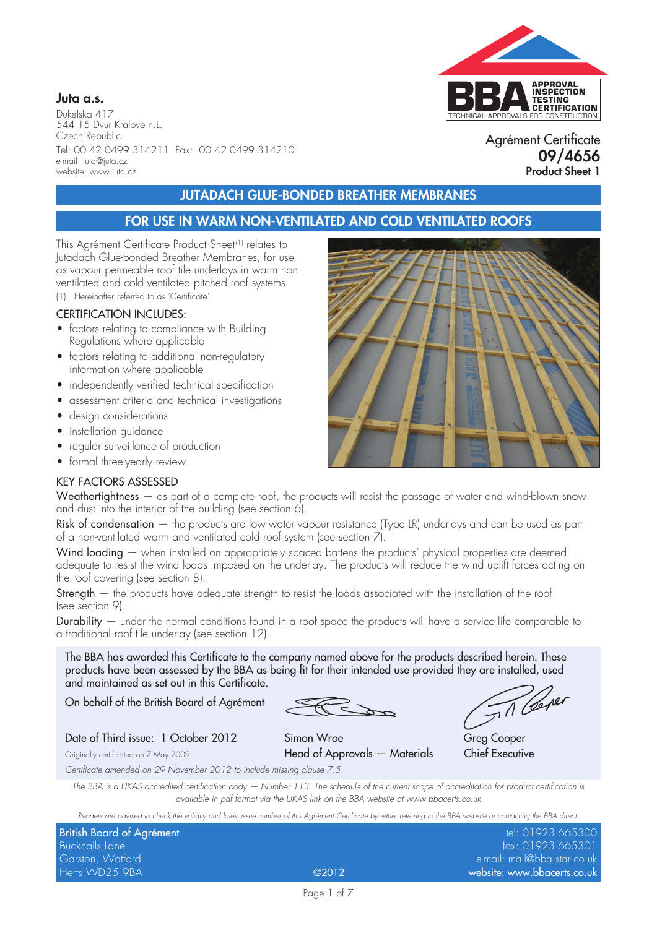

Dukelska 417 544 15 Dvur Kralove n.L. Czech Republic Tel: 00 42 0499 314211 Fax: 00 42 0499 314210 e-mail: juta@juta.cz website: www.juta.cz

# TECHNICAL APPROVALS FOR CONSTRUCTION **APPROVAL INSPECTION TESTING CERTIFICATION**

Agrément Certificate **09/4656 Product Sheet 1**

## **JUTADACH GLUE-BONDED BREATHER MEMBRANES**

### **FOR USE IN WARM NON-VENTILATED AND COLD VENTILATED ROOFS**

This Agrément Certificate Product Sheet<sup>(1)</sup> relates to Jutadach Glue-bonded Breather Membranes, for use as vapour permeable roof tile underlays in warm nonventilated and cold ventilated pitched roof systems.

(1) Hereinafter referred to as 'Certificate'.

#### CERTIFICATION INCLUDES:

- factors relating to compliance with Building Regulations where applicable
- factors relating to additional non-regulatory information where applicable
- independently verified technical specification
- assessment criteria and technical investigations
- design considerations
- installation auidance
- regular surveillance of production
- formal three-yearly review.

#### KEY FACTORS ASSESSED

Weathertightness – as part of a complete roof, the products will resist the passage of water and wind-blown snow and dust into the interior of the building (see section 6).

Risk of condensation — the products are low water vapour resistance (Type LR) underlays and can be used as part of a non-ventilated warm and ventilated cold roof system (see section 7).

Wind loading — when installed on appropriately spaced battens the products' physical properties are deemed adequate to resist the wind loads imposed on the underlay. The products will reduce the wind uplift forces acting on the roof covering (see section 8).

Strength — the products have adequate strength to resist the loads associated with the installation of the roof (see section 9).

Durability — under the normal conditions found in a roof space the products will have a service life comparable to a traditional roof tile underlay (see section 12).

The BBA has awarded this Certificate to the company named above for the products described herein. These products have been assessed by the BBA as being fit for their intended use provided they are installed, used and maintained as set out in this Certificate.

On behalf of the British Board of Agrément

Til Ceper

Date of Third issue: 1 October 2012 Simon Wroe Greg Cooper Originally certificated on 7 May 2009 **Head of Approvals — Materials** Chief Executive *Certificate amended on 29 November 2012 to include missing clause 7.5.*

*The BBA is a UKAS accredited certification body — Number 113. The schedule of the current scope of accreditation for product certification is available in pdf format via the UKAS link on the BBA website at www.bbacerts.co.uk*

*Readers are advised to check the validity and latest issue number of this Agrément Certificate by either referring to the BBA website or contacting the BBA direct.*

| tel: 01923 665300 |                                                            |
|-------------------|------------------------------------------------------------|
|                   |                                                            |
| fax: 01923 665301 |                                                            |
|                   |                                                            |
|                   |                                                            |
|                   | e-mail: mail@bba.star.co.uk<br>website: www.bbacerts.co.uk |

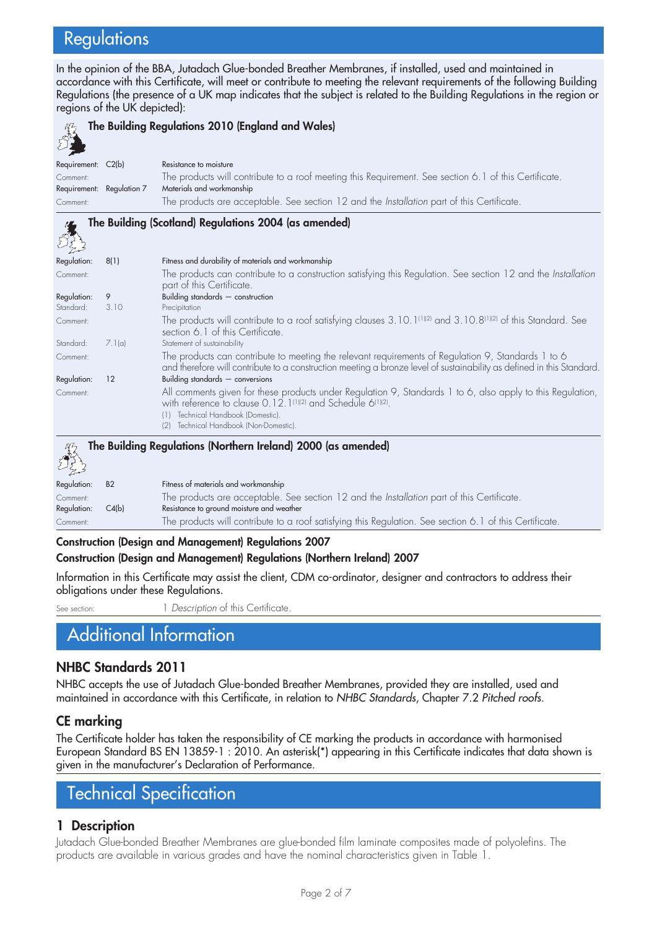# **Regulations**

In the opinion of the BBA, Jutadach Glue-bonded Breather Membranes, if installed, used and maintained in accordance with this Certificate, will meet or contribute to meeting the relevant requirements of the following Building Regulations (the presence of a UK map indicates that the subject is related to the Building Regulations in the region or regions of the UK depicted):

| The Building Regulations 2010 (England and Wales) |                |                                                                                                                                                                                                                                                                                       |  |  |  |
|---------------------------------------------------|----------------|---------------------------------------------------------------------------------------------------------------------------------------------------------------------------------------------------------------------------------------------------------------------------------------|--|--|--|
| Requirement: C2(b)                                |                | Resistance to moisture                                                                                                                                                                                                                                                                |  |  |  |
| Comment:<br>Requirement: Regulation 7             |                | The products will contribute to a roof meeting this Requirement. See section 6.1 of this Certificate.<br>Materials and workmanship                                                                                                                                                    |  |  |  |
| Comment:                                          |                | The products are acceptable. See section 12 and the Installation part of this Certificate.                                                                                                                                                                                            |  |  |  |
|                                                   |                | The Building (Scotland) Regulations 2004 (as amended)                                                                                                                                                                                                                                 |  |  |  |
| Regulation:                                       | 8(1)           | Fitness and durability of materials and workmanship                                                                                                                                                                                                                                   |  |  |  |
| Comment:                                          |                | The products can contribute to a construction satisfying this Regulation. See section 12 and the Installation<br>part of this Certificate.                                                                                                                                            |  |  |  |
| Regulation:                                       | 9              | Building standards - construction                                                                                                                                                                                                                                                     |  |  |  |
| Standard:<br>Comment:                             | 3.10           | Precipitation<br>The products will contribute to a roof satisfying clauses $3.10.1^{[1][2]}$ and $3.10.8^{[1][2]}$ of this Standard. See<br>section 6.1 of this Certificate.                                                                                                          |  |  |  |
| Standard:                                         | 7.1(a)         | Statement of sustainability                                                                                                                                                                                                                                                           |  |  |  |
| Comment:                                          |                | The products can contribute to meeting the relevant requirements of Regulation 9, Standards 1 to 6<br>and therefore will contribute to a construction meeting a bronze level of sustainability as defined in this Standard.                                                           |  |  |  |
| Regulation:                                       | 12             | Building standards $-$ conversions                                                                                                                                                                                                                                                    |  |  |  |
| Comment:                                          |                | All comments given for these products under Regulation 9, Standards 1 to 6, also apply to this Regulation,<br>with reference to clause 0.12.1 <sup>(1)(2)</sup> and Schedule 6 <sup>(1)(2)</sup> .<br>Technical Handbook (Domestic).<br>(1)<br>(2) Technical Handbook (Non-Domestic). |  |  |  |
|                                                   |                | The Building Regulations (Northern Ireland) 2000 (as amended)                                                                                                                                                                                                                         |  |  |  |
| Regulation:                                       | B <sub>2</sub> | Fitness of materials and workmanship                                                                                                                                                                                                                                                  |  |  |  |
| Comment:<br>Regulation:                           | C4(b)          | The products are acceptable. See section 12 and the Installation part of this Certificate.<br>Resistance to ground moisture and weather                                                                                                                                               |  |  |  |
| Comment:                                          |                | The products will contribute to a roof satisfying this Regulation. See section 6.1 of this Certificate.                                                                                                                                                                               |  |  |  |

#### **Construction (Design and Management) Regulations 2007**

#### **Construction (Design and Management) Regulations (Northern Ireland) 2007**

Information in this Certificate may assist the client, CDM co-ordinator, designer and contractors to address their obligations under these Regulations.

See section: 1 *Description* of this Certificate.

# Additional Information

#### **NHBC Standards 2011**

NHBC accepts the use of Jutadach Glue-bonded Breather Membranes, provided they are installed, used and maintained in accordance with this Certificate, in relation to *NHBC Standards*, Chapter 7.2 *Pitched roofs.*

#### **CE marking**

The Certificate holder has taken the responsibility of CE marking the products in accordance with harmonised European Standard BS EN 13859-1 : 2010. An asterisk(\*) appearing in this Certificate indicates that data shown is given in the manufacturer's Declaration of Performance.

# Technical Specification

#### **1 Description**

Jutadach Glue-bonded Breather Membranes are glue-bonded film laminate composites made of polyolefins. The products are available in various grades and have the nominal characteristics given in Table 1.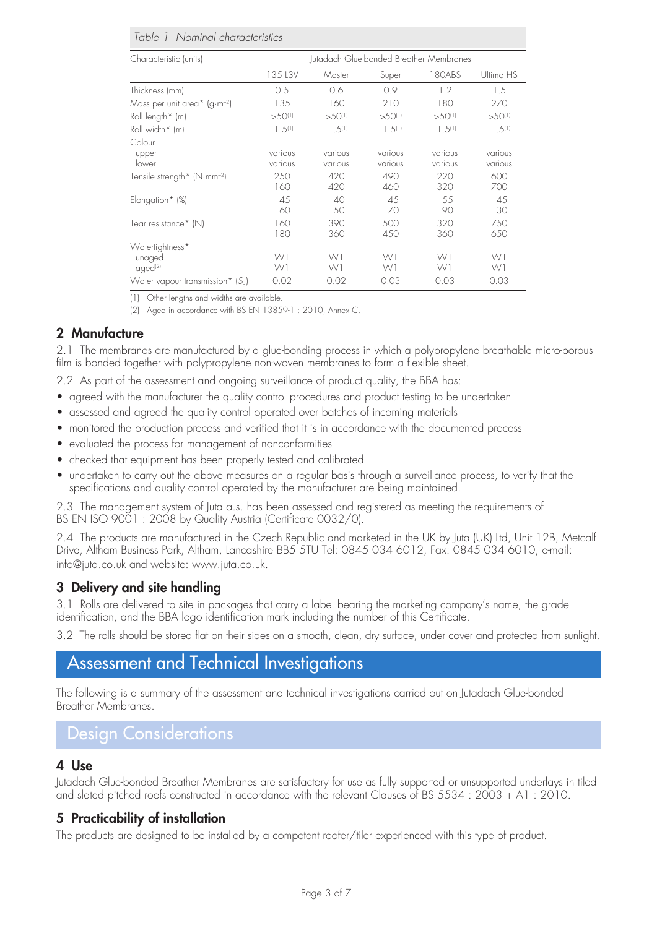#### *Table 1 Nominal characteristics*

| Characteristic (units)                   | Jutadach Glue-bonded Breather Membranes |                    |                    |                    |                    |
|------------------------------------------|-----------------------------------------|--------------------|--------------------|--------------------|--------------------|
|                                          | 135 L3V                                 | Master             | Super              | 180ABS             | Ultimo HS          |
| Thickness (mm)                           | 0.5                                     | 0.6                | 0.9                | 1.2                | 1.5                |
| Mass per unit area* (g·m <sup>-2</sup> ) | 135                                     | 160                | 210                | 180                | 270                |
| Roll length* (m)                         | $>50^{(1)}$                             | $>50^{(1)}$        | $>50^{11}$         | $>50^{(1)}$        | $>50^{(1)}$        |
| Roll width* (m)                          | $1.5^{(1)}$                             | $1.5^{(1)}$        | $1.5^{(1)}$        | $1.5^{(1)}$        | $1.5^{(1)}$        |
| Colour                                   |                                         |                    |                    |                    |                    |
| upper<br>lower                           | various<br>various                      | various<br>various | various<br>various | various<br>various | various<br>various |
| Tensile strength* (N·mm <sup>-2</sup> )  | 250<br>160                              | 420<br>420         | 490<br>460         | 220<br>320         | 600<br>700         |
| Elongation* (%)                          | 45<br>60                                | 40<br>50           | 45<br>70           | 55<br>90           | 45<br>30           |
| Tear resistance* (N)                     | 160<br>180                              | 390<br>360         | 500<br>450         | 320<br>360         | 750<br>650         |
| Watertightness*                          |                                         |                    |                    |                    |                    |
| unaged<br>aged <sup>(2)</sup>            | W1<br>W1                                | W1<br>W1           | W1<br>W1           | W1<br>W1           | W1<br>W1           |
| Water vapour transmission* $(S_d)$       | 0.02                                    | 0.02               | 0.03               | 0.03               | 0.03               |

(1) Other lengths and widths are available.

(2) Aged in accordance with BS EN 13859-1 : 2010, Annex C.

#### **2 Manufacture**

2.1 The membranes are manufactured by a glue-bonding process in which a polypropylene breathable micro-porous film is bonded together with polypropylene non-woven membranes to form a flexible sheet.

- 2.2 As part of the assessment and ongoing surveillance of product quality, the BBA has:
- agreed with the manufacturer the quality control procedures and product testing to be undertaken
- assessed and agreed the quality control operated over batches of incoming materials
- monitored the production process and verified that it is in accordance with the documented process
- evaluated the process for management of nonconformities
- checked that equipment has been properly tested and calibrated
- undertaken to carry out the above measures on a regular basis through a surveillance process, to verify that the specifications and quality control operated by the manufacturer are being maintained.

2.3 The management system of Juta a.s. has been assessed and registered as meeting the requirements of BS EN ISO 9001: 2008 by Quality Austria (Certificate 0032/0).

2.4 The products are manufactured in the Czech Republic and marketed in the UK by Juta (UK) Ltd, Unit 12B, Metcalf Drive, Altham Business Park, Altham, Lancashire BB5 5TU Tel: 0845 034 6012, Fax: 0845 034 6010, e-mail: info@juta.co.uk and website: www.juta.co.uk.

#### **3 Delivery and site handling**

3.1 Rolls are delivered to site in packages that carry a label bearing the marketing company's name, the grade identification, and the BBA logo identification mark including the number of this Certificate.

3.2 The rolls should be stored flat on their sides on a smooth, clean, dry surface, under cover and protected from sunlight.

## Assessment and Technical Investigations

The following is a summary of the assessment and technical investigations carried out on Jutadach Glue-bonded Breather Membranes.

## Design Considerations

#### **4 Use**

Jutadach Glue-bonded Breather Membranes are satisfactory for use as fully supported or unsupported underlays in tiled and slated pitched roofs constructed in accordance with the relevant Clauses of BS 5534 : 2003 + A1 : 2010.

#### **5 Practicability of installation**

The products are designed to be installed by a competent roofer/tiler experienced with this type of product.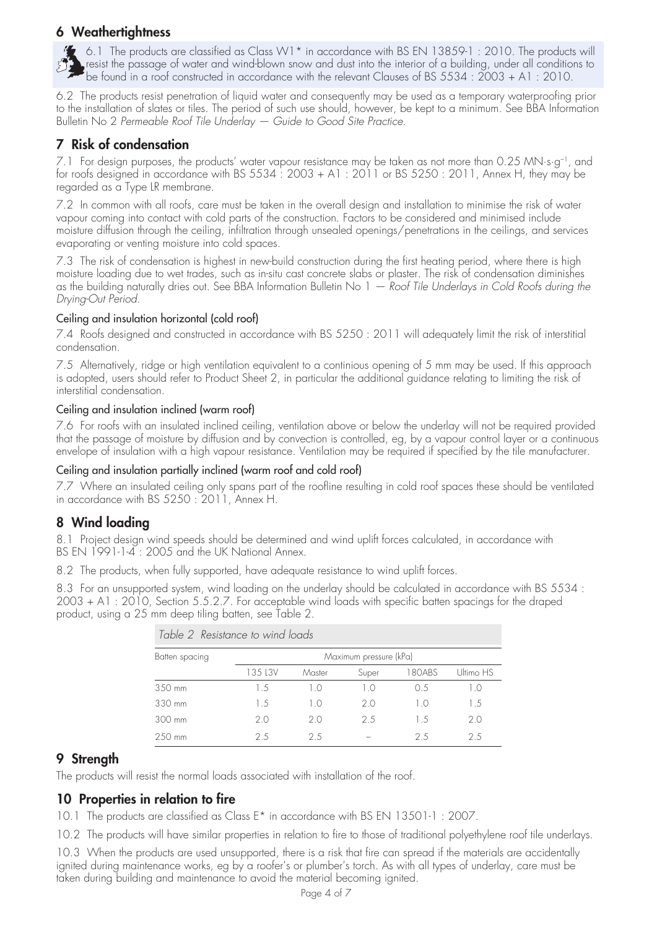### **6 Weathertightness**

6.1 The products are classified as Class W1 $^*$  in accordance with BS EN 13859-1 : 2010. The products will resist the passage of water and wind-blown snow and dust into the interior of a building, under all conditions to be found in a roof constructed in accordance with the relevant Clauses of BS 5534 : 2003 + A1 : 2010.

6.2 The products resist penetration of liquid water and consequently may be used as a temporary waterproofing prior to the installation of slates or tiles. The period of such use should, however, be kept to a minimum. See BBA Information Bulletin No 2 *Permeable Roof Tile Underlay — Guide to Good Site Practice*.

## **7 Risk of condensation**

7.1 For design purposes, the products' water vapour resistance may be taken as not more than 0.25 MN·s·g<sup>-1</sup>, and for roofs designed in accordance with BS 5534 : 2003 + A1 : 2011 or BS 5250 : 2011, Annex H, they may be regarded as a Type LR membrane.

7.2 In common with all roofs, care must be taken in the overall design and installation to minimise the risk of water vapour coming into contact with cold parts of the construction. Factors to be considered and minimised include moisture diffusion through the ceiling, infiltration through unsealed openings/penetrations in the ceilings, and services evaporating or venting moisture into cold spaces.

7.3 The risk of condensation is highest in new-build construction during the first heating period, where there is high moisture loading due to wet trades, such as in-situ cast concrete slabs or plaster. The risk of condensation diminishes as the building naturally dries out. See BBA Information Bulletin No 1 *— Roof Tile Underlays in Cold Roofs during the Drying-Out Period*.

#### Ceiling and insulation horizontal (cold roof)

7.4 Roofs designed and constructed in accordance with BS 5250 : 2011 will adequately limit the risk of interstitial condensation.

7.5 Alternatively, ridge or high ventilation equivalent to a continious opening of 5 mm may be used. If this approach is adopted, users should refer to Product Sheet 2, in particular the additional guidance relating to limiting the risk of interstitial condensation.

#### Ceiling and insulation inclined (warm roof)

7.6 For roofs with an insulated inclined ceiling, ventilation above or below the underlay will not be required provided that the passage of moisture by diffusion and by convection is controlled, eg, by a vapour control layer or a continuous envelope of insulation with a high vapour resistance. Ventilation may be required if specified by the tile manufacturer.

#### Ceiling and insulation partially inclined (warm roof and cold roof)

7.7 Where an insulated ceiling only spans part of the roofline resulting in cold roof spaces these should be ventilated in accordance with BS 5250 : 2011, Annex H.

## **8 Wind loading**

8.1 Project design wind speeds should be determined and wind uplift forces calculated, in accordance with BS EN 1991-1-4 : 2005 and the UK National Annex.

8.2 The products, when fully supported, have adequate resistance to wind uplift forces.

8.3 For an unsupported system, wind loading on the underlay should be calculated in accordance with BS 5534 : 2003 + A1: 2010, Section 5.5.2.7. For acceptable wind loads with specific batten spacings for the draped product, using a 25 mm deep tiling batten, see Table 2.

| Batten spacing | Maximum pressure (kPa) |        |       |        |           |
|----------------|------------------------|--------|-------|--------|-----------|
|                | 135 L3V                | Master | Super | 180ABS | Ultimo HS |
| 350 mm         | 1.5                    | 10     | 10    | 0.5    | 1.0       |
| 330 mm         | 1.5                    | 10     | 20    | 10     | 15        |
| 300 mm         | 2.0                    | 20     | 2.5   | 1.5    | 2.0       |
| 250 mm         | 2.5                    | 25     |       | 25     | 25        |

*Table 2 Resistance to wind loads*

#### **9 Strength**

The products will resist the normal loads associated with installation of the roof.

#### **10 Properties in relation to fire**

10.1 The products are classified as Class E\* in accordance with BS EN 13501-1 : 2007.

10.2 The products will have similar properties in relation to fire to those of traditional polyethylene roof tile underlays.

10.3 When the products are used unsupported, there is a risk that fire can spread if the materials are accidentally ignited during maintenance works, eg by a roofer's or plumber's torch. As with all types of underlay, care must be taken during building and maintenance to avoid the material becoming ignited.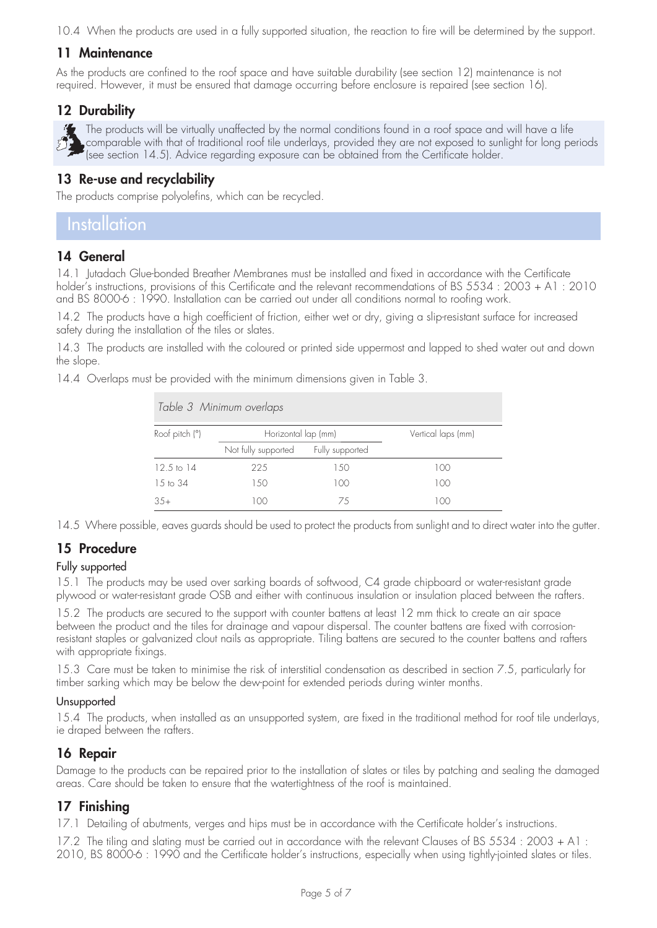10.4 When the products are used in a fully supported situation, the reaction to fire will be determined by the support.

#### **11 Maintenance**

As the products are confined to the roof space and have suitable durability (see section 12) maintenance is not required. However, it must be ensured that damage occurring before enclosure is repaired (see section 16).

### **12 Durability**

The products will be virtually unaffected by the normal conditions found in a roof space and will have a life comparable with that of traditional roof tile underlays, provided they are not exposed to sunlight for long periods (see section 14.5). Advice regarding exposure can be obtained from the Certificate holder.

#### **13 Re-use and recyclability**

The products comprise polyolefins, which can be recycled.

## **Installation**

#### **14 General**

14.1 Jutadach Glue-bonded Breather Membranes must be installed and fixed in accordance with the Certificate holder's instructions, provisions of this Certificate and the relevant recommendations of BS 5534 : 2003 + A1 : 2010 and BS 8000-6 : 1990. Installation can be carried out under all conditions normal to roofing work.

14.2 The products have a high coefficient of friction, either wet or dry, giving a slip-resistant surface for increased safety during the installation of the tiles or slates.

14.3 The products are installed with the coloured or printed side uppermost and lapped to shed water out and down the slope.

14.4 Overlaps must be provided with the minimum dimensions given in Table 3.

| Table 3 Minimum overlaps |                     |                    |     |  |  |
|--------------------------|---------------------|--------------------|-----|--|--|
| Roof pitch (°)           | Horizontal lap (mm) | Vertical laps (mm) |     |  |  |
|                          | Not fully supported | Fully supported    |     |  |  |
| $12.5 \text{ to } 14$    | 225                 | 150                | 100 |  |  |
| $15 \text{ to } 34$      | 1.50                | 100                | 100 |  |  |
| $3.5+$                   | 100                 | 75                 | 100 |  |  |

14.5 Where possible, eaves guards should be used to protect the products from sunlight and to direct water into the gutter.

## **15 Procedure**

#### Fully supported

15.1 The products may be used over sarking boards of softwood, C4 grade chipboard or water-resistant grade plywood or water-resistant grade OSB and either with continuous insulation or insulation placed between the rafters.

15.2 The products are secured to the support with counter battens at least 12 mm thick to create an air space between the product and the tiles for drainage and vapour dispersal. The counter battens are fixed with corrosionresistant staples or galvanized clout nails as appropriate. Tiling battens are secured to the counter battens and rafters with appropriate fixings.

15.3 Care must be taken to minimise the risk of interstitial condensation as described in section 7.5, particularly for timber sarking which may be below the dew-point for extended periods during winter months.

#### **Unsupported**

15.4 The products, when installed as an unsupported system, are fixed in the traditional method for roof tile underlays, ie draped between the rafters.

#### **16 Repair**

Damage to the products can be repaired prior to the installation of slates or tiles by patching and sealing the damaged areas. Care should be taken to ensure that the watertightness of the roof is maintained.

## **17 Finishing**

17.1 Detailing of abutments, verges and hips must be in accordance with the Certificate holder's instructions.

17.2 The tiling and slating must be carried out in accordance with the relevant Clauses of BS 5534 : 2003 + A1 : 2010, BS 8000-6 : 1990 and the Certificate holder's instructions, especially when using tightly-jointed slates or tiles.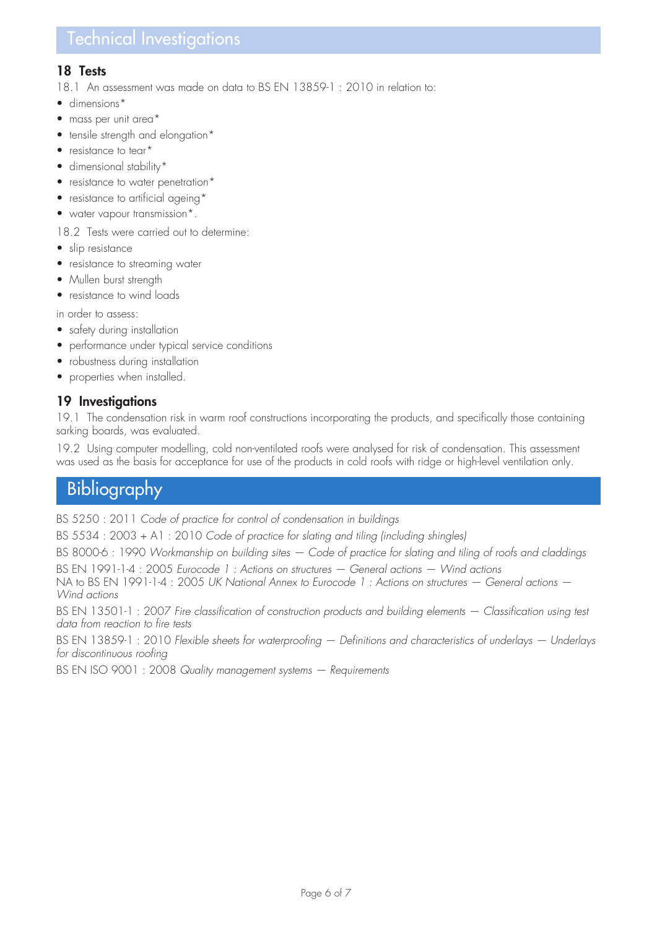## Technical Investigations

#### **18 Tests**

18.1 An assessment was made on data to BS EN 13859-1 : 2010 in relation to:

- dimensions\*
- mass per unit area\*
- tensile strength and elongation\*
- resistance to tear\*
- dimensional stability\*
- resistance to water penetration\*
- resistance to artificial ageing\*
- water vapour transmission\*.

#### 18.2 Tests were carried out to determine:

- slip resistance
- resistance to streaming water
- Mullen burst strength
- resistance to wind loads

in order to assess:

- safety during installation
- performance under typical service conditions
- robustness during installation
- properties when installed

#### **19 Investigations**

19.1 The condensation risk in warm roof constructions incorporating the products, and specifically those containing sarking boards, was evaluated.

19.2 Using computer modelling, cold non-ventilated roofs were analysed for risk of condensation. This assessment was used as the basis for acceptance for use of the products in cold roofs with ridge or high-level ventilation only.

## **Bibliography**

BS 5250 : 2011 *Code of practice for control of condensation in buildings*

BS 5534 : 2003 + A1 : 2010 *Code of practice for slating and tiling (including shingles)*

BS 8000-6 : 1990 *Workmanship on building sites — Code of practice for slating and tiling of roofs and claddings*

BS EN 1991-1-4 : 2005 *Eurocode 1 : Actions on structures — General actions — Wind actions*

NA to BS EN 1991-1-4 : 2005 *UK National Annex to Eurocode 1 : Actions on structures — General actions — Wind actions*

BS EN 13501-1 : 2007 *Fire classification of construction products and building elements — Classification using test data from reaction to fire tests*

BS EN 13859-1 : 2010 *Flexible sheets for waterproofing — Definitions and characteristics of underlays — Underlays for discontinuous roofing*

BS EN ISO 9001 : 2008 *Quality management systems — Requirements*